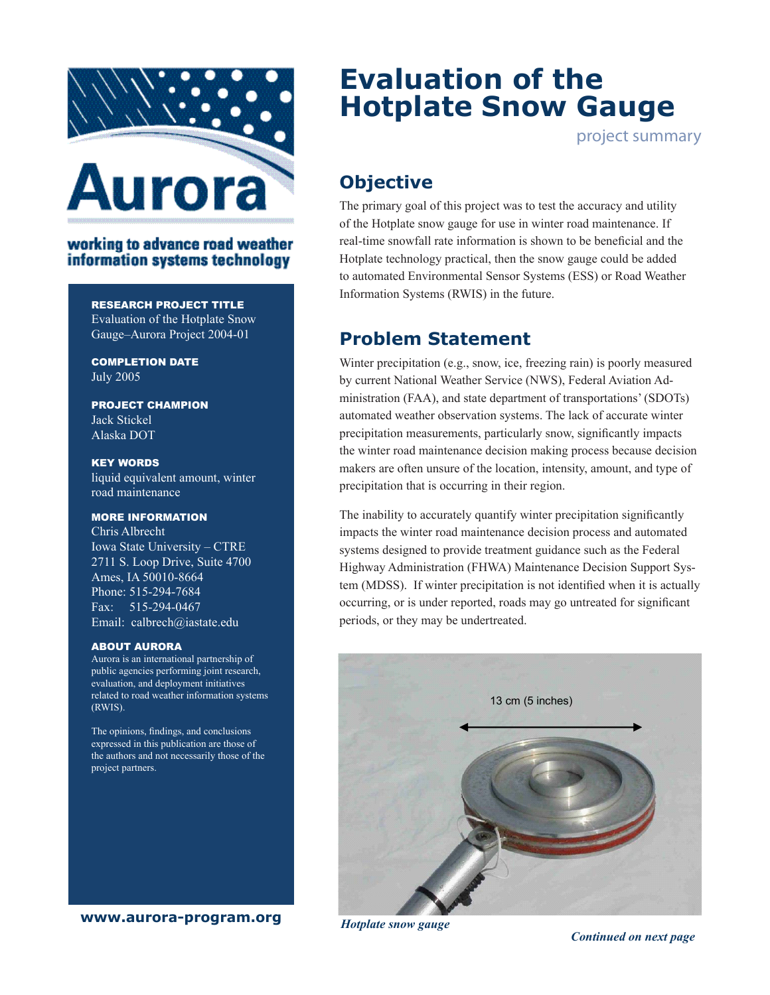

## working to advance road weather information systems technology

#### Research Project Title

Evaluation of the Hotplate Snow Gauge–Aurora Project 2004-01

completion Date July 2005

project champion Jack Stickel Alaska DOT

Key Words liquid equivalent amount, winter road maintenance

### More Information

Chris Albrecht Iowa State University – CTRE 2711 S. Loop Drive, Suite 4700 Ames, IA 50010-8664 Phone: 515-294-7684 Fax: 515-294-0467 Email: calbrech@iastate.edu

#### ABOUT AURORA

Aurora is an international partnership of public agencies performing joint research, evaluation, and deployment initiatives related to road weather information systems (RWIS).

The opinions, findings, and conclusions expressed in this publication are those of the authors and not necessarily those of the project partners.

**www.aurora-program.org**

# **Evaluation of the Hotplate Snow Gauge**

project summary

# **Objective**

The primary goal of this project was to test the accuracy and utility of the Hotplate snow gauge for use in winter road maintenance. If real-time snowfall rate information is shown to be beneficial and the Hotplate technology practical, then the snow gauge could be added to automated Environmental Sensor Systems (ESS) or Road Weather Information Systems (RWIS) in the future.

## **Problem Statement**

Winter precipitation (e.g., snow, ice, freezing rain) is poorly measured by current National Weather Service (NWS), Federal Aviation Administration (FAA), and state department of transportations' (SDOTs) automated weather observation systems. The lack of accurate winter precipitation measurements, particularly snow, significantly impacts the winter road maintenance decision making process because decision makers are often unsure of the location, intensity, amount, and type of precipitation that is occurring in their region.

The inability to accurately quantify winter precipitation significantly impacts the winter road maintenance decision process and automated systems designed to provide treatment guidance such as the Federal Highway Administration (FHWA) Maintenance Decision Support System (MDSS). If winter precipitation is not identified when it is actually occurring, or is under reported, roads may go untreated for significant periods, or they may be undertreated.



*Hotplate snow gauge*

 *Continued on next page*